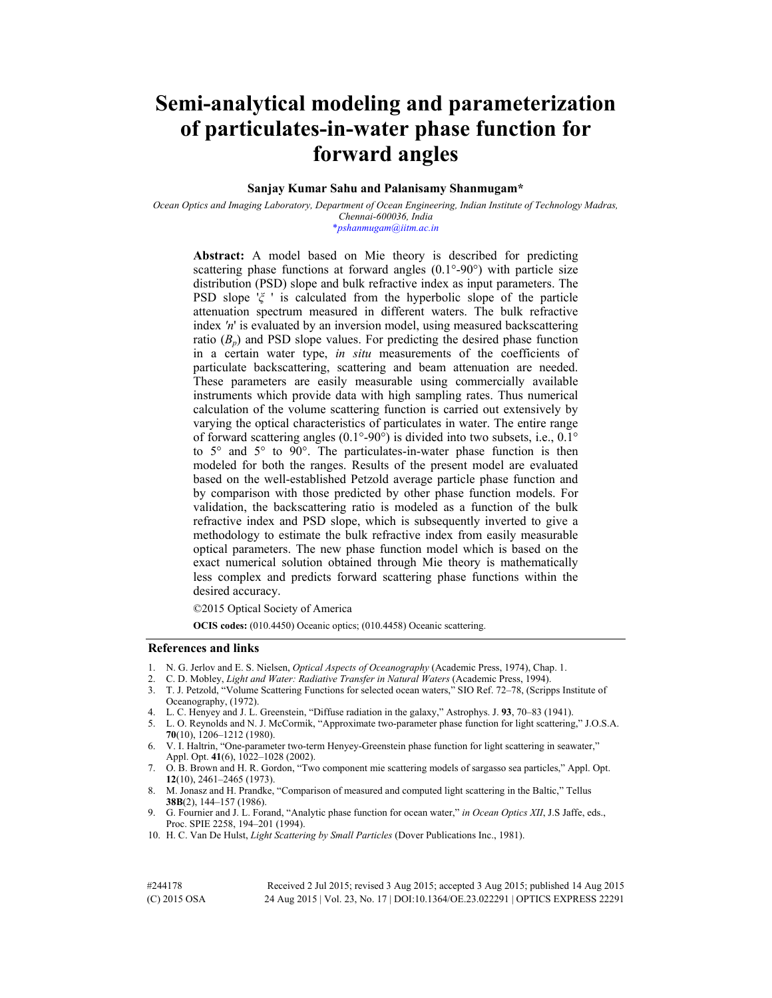# **Semi-analytical modeling and parameterization of particulates-in-water phase function for forward angles**

## **Sanjay Kumar Sahu and Palanisamy Shanmugam\***

*Ocean Optics and Imaging Laboratory, Department of Ocean Engineering, Indian Institute of Technology Madras, Chennai-600036, India*  \**pshanmugam@iitm.ac.in* 

**Abstract:** A model based on Mie theory is described for predicting scattering phase functions at forward angles (0.1°-90°) with particle size distribution (PSD) slope and bulk refractive index as input parameters. The PSD slope '*ξ* ' is calculated from the hyperbolic slope of the particle attenuation spectrum measured in different waters. The bulk refractive index *'n*' is evaluated by an inversion model, using measured backscattering ratio  $(B_p)$  and PSD slope values. For predicting the desired phase function in a certain water type, *in situ* measurements of the coefficients of particulate backscattering, scattering and beam attenuation are needed. These parameters are easily measurable using commercially available instruments which provide data with high sampling rates. Thus numerical calculation of the volume scattering function is carried out extensively by varying the optical characteristics of particulates in water. The entire range of forward scattering angles (0.1°-90°) is divided into two subsets, i.e., 0.1° to 5° and 5° to 90°. The particulates-in-water phase function is then modeled for both the ranges. Results of the present model are evaluated based on the well-established Petzold average particle phase function and by comparison with those predicted by other phase function models. For validation, the backscattering ratio is modeled as a function of the bulk refractive index and PSD slope, which is subsequently inverted to give a methodology to estimate the bulk refractive index from easily measurable optical parameters. The new phase function model which is based on the exact numerical solution obtained through Mie theory is mathematically less complex and predicts forward scattering phase functions within the desired accuracy.

©2015 Optical Society of America

**OCIS codes:** (010.4450) Oceanic optics; (010.4458) Oceanic scattering.

## **References and links**

- 1. N. G. Jerlov and E. S. Nielsen, *Optical Aspects of Oceanography* (Academic Press, 1974), Chap. 1.
- 2. C. D. Mobley, *Light and Water: Radiative Transfer in Natural Waters* (Academic Press, 1994).
- 3. T. J. Petzold, "Volume Scattering Functions for selected ocean waters," SIO Ref. 72–78, (Scripps Institute of Oceanography, (1972).
- 4. L. C. Henyey and J. L. Greenstein, "Diffuse radiation in the galaxy," Astrophys. J. **93**, 70–83 (1941).
- 5. L. O. Reynolds and N. J. McCormik, "Approximate two-parameter phase function for light scattering," J.O.S.A. **70**(10), 1206–1212 (1980).
- 6. V. I. Haltrin, "One-parameter two-term Henyey-Greenstein phase function for light scattering in seawater," Appl. Opt. **41**(6), 1022–1028 (2002).
- 7. O. B. Brown and H. R. Gordon, "Two component mie scattering models of sargasso sea particles," Appl. Opt. **12**(10), 2461–2465 (1973).
- 8. M. Jonasz and H. Prandke, "Comparison of measured and computed light scattering in the Baltic," Tellus **38B**(2), 144–157 (1986).
- 9. G. Fournier and J. L. Forand, "Analytic phase function for ocean water," *in Ocean Optics XII*, J.S Jaffe, eds., Proc. SPIE 2258, 194–201 (1994).
- 10. H. C. Van De Hulst, *Light Scattering by Small Particles* (Dover Publications Inc., 1981).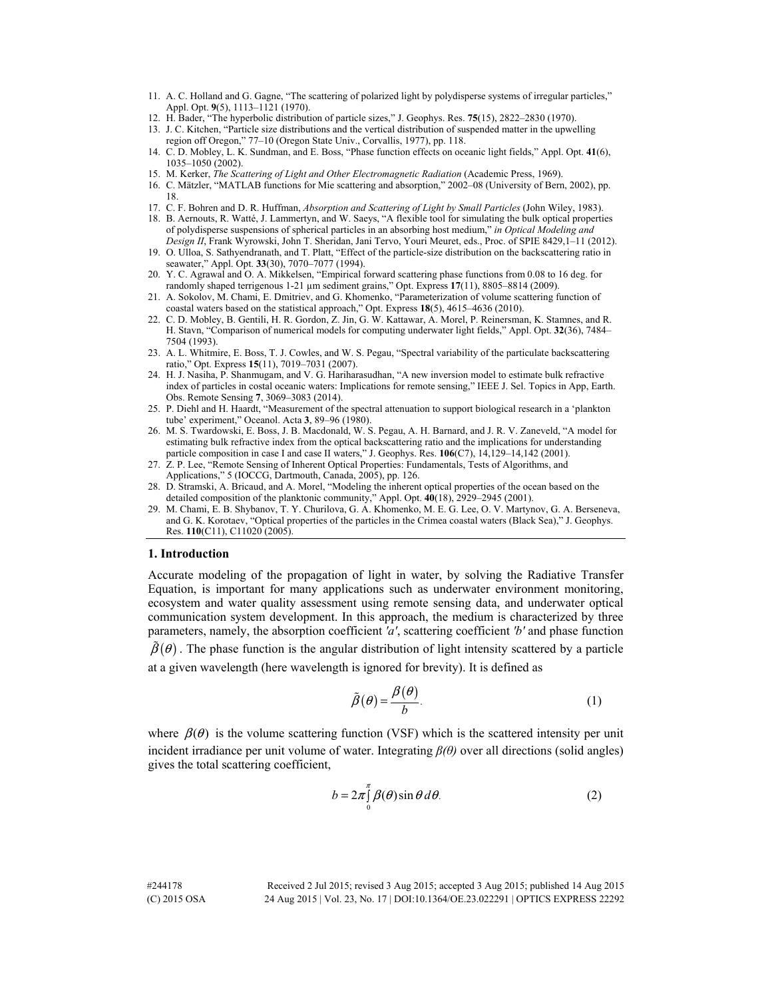- 11. A. C. Holland and G. Gagne, "The scattering of polarized light by polydisperse systems of irregular particles," Appl. Opt. **9**(5), 1113–1121 (1970).
- 12. H. Bader, "The hyperbolic distribution of particle sizes," J. Geophys. Res. **75**(15), 2822–2830 (1970).
- 13. J. C. Kitchen, "Particle size distributions and the vertical distribution of suspended matter in the upwelling region off Oregon," 77–10 (Oregon State Univ., Corvallis, 1977), pp. 118.
- 14. C. D. Mobley, L. K. Sundman, and E. Boss, "Phase function effects on oceanic light fields," Appl. Opt. **41**(6), 1035–1050 (2002).
- 15. M. Kerker, *The Scattering of Light and Other Electromagnetic Radiation* (Academic Press, 1969).
- 16. C. Mätzler, "MATLAB functions for Mie scattering and absorption," 2002–08 (University of Bern, 2002), pp. 18.
- 17. C. F. Bohren and D. R. Huffman, *Absorption and Scattering of Light by Small Particles* (John Wiley, 1983).
- 18. B. Aernouts, R. Watté, J. Lammertyn, and W. Saeys, "A flexible tool for simulating the bulk optical properties of polydisperse suspensions of spherical particles in an absorbing host medium," *in Optical Modeling and Design II*, Frank Wyrowski, John T. Sheridan, Jani Tervo, Youri Meuret, eds., Proc. of SPIE 8429,1–11 (2012).
- 19. O. Ulloa, S. Sathyendranath, and T. Platt, "Effect of the particle-size distribution on the backscattering ratio in seawater," Appl. Opt. **33**(30), 7070–7077 (1994).
- 20. Y. C. Agrawal and O. A. Mikkelsen, "Empirical forward scattering phase functions from 0.08 to 16 deg. for randomly shaped terrigenous 1-21 µm sediment grains," Opt. Express **17**(11), 8805–8814 (2009).
- 21. A. Sokolov, M. Chami, E. Dmitriev, and G. Khomenko, "Parameterization of volume scattering function of coastal waters based on the statistical approach," Opt. Express **18**(5), 4615–4636 (2010).
- 22. C. D. Mobley, B. Gentili, H. R. Gordon, Z. Jin, G. W. Kattawar, A. Morel, P. Reinersman, K. Stamnes, and R. H. Stavn, "Comparison of numerical models for computing underwater light fields," Appl. Opt. **32**(36), 7484– 7504 (1993).
- 23. A. L. Whitmire, E. Boss, T. J. Cowles, and W. S. Pegau, "Spectral variability of the particulate backscattering ratio," Opt. Express **15**(11), 7019–7031 (2007).
- 24. H. J. Nasiha, P. Shanmugam, and V. G. Hariharasudhan, "A new inversion model to estimate bulk refractive index of particles in costal oceanic waters: Implications for remote sensing," IEEE J. Sel. Topics in App, Earth. Obs. Remote Sensing **7**, 3069–3083 (2014).
- 25. P. Diehl and H. Haardt, "Measurement of the spectral attenuation to support biological research in a 'plankton tube' experiment," Oceanol. Acta **3**, 89–96 (1980).
- 26. M. S. Twardowski, E. Boss, J. B. Macdonald, W. S. Pegau, A. H. Barnard, and J. R. V. Zaneveld, "A model for estimating bulk refractive index from the optical backscattering ratio and the implications for understanding particle composition in case I and case II waters," J. Geophys. Res. **106**(C7), 14,129–14,142 (2001).
- 27. Z. P. Lee, "Remote Sensing of Inherent Optical Properties: Fundamentals, Tests of Algorithms, and Applications," 5 (IOCCG, Dartmouth, Canada, 2005), pp. 126.
- 28. D. Stramski, A. Bricaud, and A. Morel, "Modeling the inherent optical properties of the ocean based on the detailed composition of the planktonic community," Appl. Opt. **40**(18), 2929–2945 (2001).
- 29. M. Chami, E. B. Shybanov, T. Y. Churilova, G. A. Khomenko, M. E. G. Lee, O. V. Martynov, G. A. Berseneva, and G. K. Korotaev, "Optical properties of the particles in the Crimea coastal waters (Black Sea)," J. Geophys. Res. **110**(C11), C11020 (2005).

#### **1. Introduction**

Accurate modeling of the propagation of light in water, by solving the Radiative Transfer Equation, is important for many applications such as underwater environment monitoring, ecosystem and water quality assessment using remote sensing data, and underwater optical communication system development. In this approach, the medium is characterized by three parameters, namely, the absorption coefficient *'a'*, scattering coefficient *'b'* and phase function

 $\tilde{\beta}(\theta)$ . The phase function is the angular distribution of light intensity scattered by a particle at a given wavelength (here wavelength is ignored for brevity). It is defined as

$$
\tilde{\beta}(\theta) = \frac{\beta(\theta)}{b}.
$$
\n(1)

where  $\beta(\theta)$  is the volume scattering function (VSF) which is the scattered intensity per unit incident irradiance per unit volume of water. Integrating *β(θ)* over all directions (solid angles) gives the total scattering coefficient,

$$
b = 2\pi \int_{0}^{\pi} \beta(\theta) \sin \theta \, d\theta. \tag{2}
$$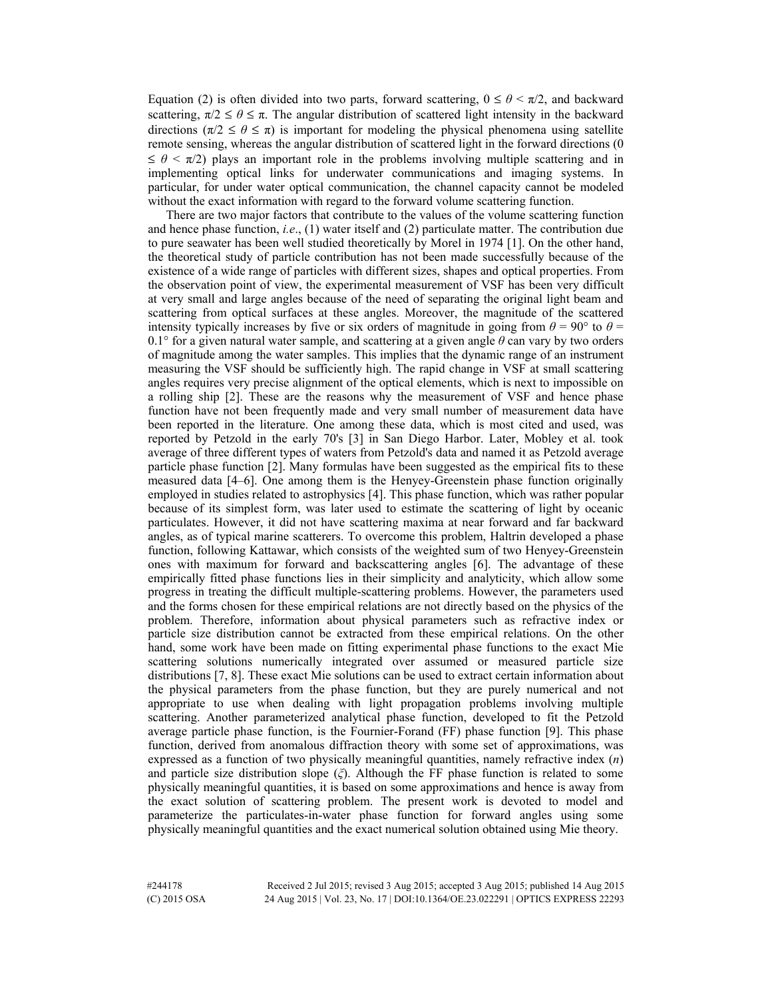Equation (2) is often divided into two parts, forward scattering,  $0 \le \theta \le \pi/2$ , and backward scattering,  $\pi/2 \le \theta \le \pi$ . The angular distribution of scattered light intensity in the backward directions ( $\pi/2 \le \theta \le \pi$ ) is important for modeling the physical phenomena using satellite remote sensing, whereas the angular distribution of scattered light in the forward directions (0  $\leq \theta \leq \pi/2$ ) plays an important role in the problems involving multiple scattering and in implementing optical links for underwater communications and imaging systems. In particular, for under water optical communication, the channel capacity cannot be modeled without the exact information with regard to the forward volume scattering function.

There are two major factors that contribute to the values of the volume scattering function and hence phase function, *i.e*., (1) water itself and (2) particulate matter. The contribution due to pure seawater has been well studied theoretically by Morel in 1974 [1]. On the other hand, the theoretical study of particle contribution has not been made successfully because of the existence of a wide range of particles with different sizes, shapes and optical properties. From the observation point of view, the experimental measurement of VSF has been very difficult at very small and large angles because of the need of separating the original light beam and scattering from optical surfaces at these angles. Moreover, the magnitude of the scattered intensity typically increases by five or six orders of magnitude in going from  $\theta = 90^\circ$  to  $\theta =$ 0.1° for a given natural water sample, and scattering at a given angle *θ* can vary by two orders of magnitude among the water samples. This implies that the dynamic range of an instrument measuring the VSF should be sufficiently high. The rapid change in VSF at small scattering angles requires very precise alignment of the optical elements, which is next to impossible on a rolling ship [2]. These are the reasons why the measurement of VSF and hence phase function have not been frequently made and very small number of measurement data have been reported in the literature. One among these data, which is most cited and used, was reported by Petzold in the early 70's [3] in San Diego Harbor. Later, Mobley et al. took average of three different types of waters from Petzold's data and named it as Petzold average particle phase function [2]. Many formulas have been suggested as the empirical fits to these measured data [4–6]. One among them is the Henyey-Greenstein phase function originally employed in studies related to astrophysics [4]. This phase function, which was rather popular because of its simplest form, was later used to estimate the scattering of light by oceanic particulates. However, it did not have scattering maxima at near forward and far backward angles, as of typical marine scatterers. To overcome this problem, Haltrin developed a phase function, following Kattawar, which consists of the weighted sum of two Henyey-Greenstein ones with maximum for forward and backscattering angles [6]. The advantage of these empirically fitted phase functions lies in their simplicity and analyticity, which allow some progress in treating the difficult multiple-scattering problems. However, the parameters used and the forms chosen for these empirical relations are not directly based on the physics of the problem. Therefore, information about physical parameters such as refractive index or particle size distribution cannot be extracted from these empirical relations. On the other hand, some work have been made on fitting experimental phase functions to the exact Mie scattering solutions numerically integrated over assumed or measured particle size distributions [7, 8]. These exact Mie solutions can be used to extract certain information about the physical parameters from the phase function, but they are purely numerical and not appropriate to use when dealing with light propagation problems involving multiple scattering. Another parameterized analytical phase function, developed to fit the Petzold average particle phase function, is the Fournier-Forand (FF) phase function [9]. This phase function, derived from anomalous diffraction theory with some set of approximations, was expressed as a function of two physically meaningful quantities, namely refractive index (*n*) and particle size distribution slope (*ξ*). Although the FF phase function is related to some physically meaningful quantities, it is based on some approximations and hence is away from the exact solution of scattering problem. The present work is devoted to model and parameterize the particulates-in-water phase function for forward angles using some physically meaningful quantities and the exact numerical solution obtained using Mie theory.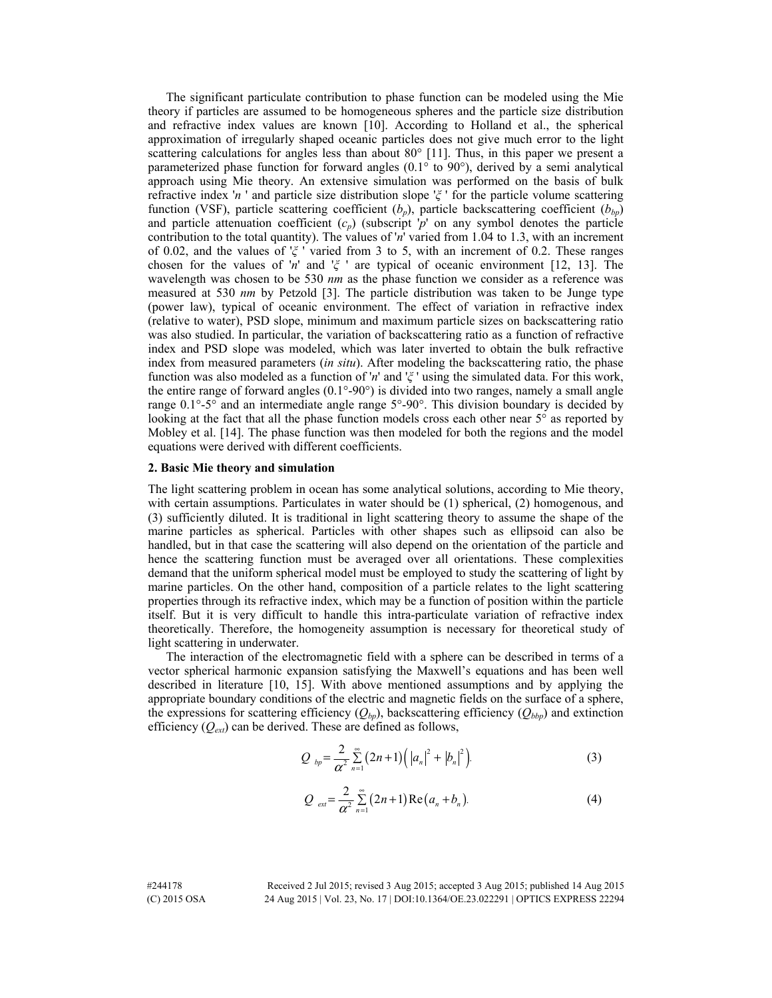The significant particulate contribution to phase function can be modeled using the Mie theory if particles are assumed to be homogeneous spheres and the particle size distribution and refractive index values are known [10]. According to Holland et al., the spherical approximation of irregularly shaped oceanic particles does not give much error to the light scattering calculations for angles less than about 80° [11]. Thus, in this paper we present a parameterized phase function for forward angles (0.1° to 90°), derived by a semi analytical approach using Mie theory. An extensive simulation was performed on the basis of bulk refractive index '*n* ' and particle size distribution slope '*ξ* ' for the particle volume scattering function (VSF), particle scattering coefficient  $(b_p)$ , particle backscattering coefficient  $(b_{bp})$ and particle attenuation coefficient (*cp*) (subscript '*p*' on any symbol denotes the particle contribution to the total quantity). The values of '*n*' varied from 1.04 to 1.3, with an increment of 0.02, and the values of '*ξ* ' varied from 3 to 5, with an increment of 0.2. These ranges chosen for the values of '*n*' and '*ξ* ' are typical of oceanic environment [12, 13]. The wavelength was chosen to be 530 *nm* as the phase function we consider as a reference was measured at 530 *nm* by Petzold [3]. The particle distribution was taken to be Junge type (power law), typical of oceanic environment. The effect of variation in refractive index (relative to water), PSD slope, minimum and maximum particle sizes on backscattering ratio was also studied. In particular, the variation of backscattering ratio as a function of refractive index and PSD slope was modeled, which was later inverted to obtain the bulk refractive index from measured parameters (*in situ*). After modeling the backscattering ratio, the phase function was also modeled as a function of '*n*' and '*ξ* ' using the simulated data. For this work, the entire range of forward angles (0.1°-90°) is divided into two ranges, namely a small angle range  $0.1^\circ$ -5 $^\circ$  and an intermediate angle range 5 $^\circ$ -90 $^\circ$ . This division boundary is decided by looking at the fact that all the phase function models cross each other near  $5^\circ$  as reported by Mobley et al. [14]. The phase function was then modeled for both the regions and the model equations were derived with different coefficients.

#### **2. Basic Mie theory and simulation**

The light scattering problem in ocean has some analytical solutions, according to Mie theory, with certain assumptions. Particulates in water should be (1) spherical, (2) homogenous, and (3) sufficiently diluted. It is traditional in light scattering theory to assume the shape of the marine particles as spherical. Particles with other shapes such as ellipsoid can also be handled, but in that case the scattering will also depend on the orientation of the particle and hence the scattering function must be averaged over all orientations. These complexities demand that the uniform spherical model must be employed to study the scattering of light by marine particles. On the other hand, composition of a particle relates to the light scattering properties through its refractive index, which may be a function of position within the particle itself. But it is very difficult to handle this intra-particulate variation of refractive index theoretically. Therefore, the homogeneity assumption is necessary for theoretical study of light scattering in underwater.

The interaction of the electromagnetic field with a sphere can be described in terms of a vector spherical harmonic expansion satisfying the Maxwell's equations and has been well described in literature [10, 15]. With above mentioned assumptions and by applying the appropriate boundary conditions of the electric and magnetic fields on the surface of a sphere, the expressions for scattering efficiency  $(Q_{bp})$ , backscattering efficiency  $(Q_{bbp})$  and extinction efficiency (*Qext*) can be derived. These are defined as follows,

$$
Q_{bp} = \frac{2}{\alpha^2} \sum_{n=1}^{\infty} (2n+1) (|a_n|^2 + |b_n|^2).
$$
 (3)

$$
Q_{ext} = \frac{2}{\alpha^2} \sum_{n=1}^{\infty} (2n+1) \operatorname{Re}(a_n + b_n).
$$
 (4)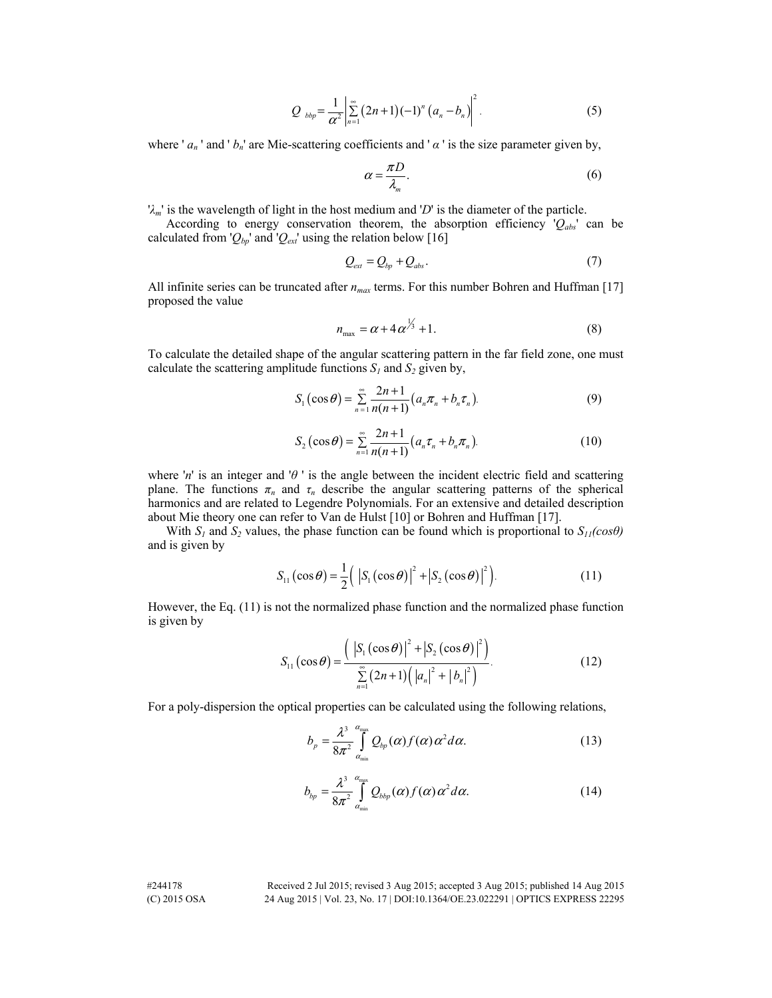$$
Q_{bbp} = \frac{1}{\alpha^2} \left| \sum_{n=1}^{\infty} (2n+1)(-1)^n (a_n - b_n) \right|^2.
$$
 (5)

where ' $a_n$ ' and ' $b_n$ ' are Mie-scattering coefficients and ' $\alpha$ ' is the size parameter given by,

$$
\alpha = \frac{\pi D}{\lambda_m}.\tag{6}
$$

'*λm*' is the wavelength of light in the host medium and '*D*' is the diameter of the particle.

According to energy conservation theorem, the absorption efficiency '*Qabs*' can be calculated from ' $Q_{bp}$ ' and ' $Q_{ext}$ ' using the relation below [16]

$$
Q_{\text{ext}} = Q_{\text{bp}} + Q_{\text{abs}}.\tag{7}
$$

All infinite series can be truncated after *nmax* terms. For this number Bohren and Huffman [17] proposed the value

$$
n_{\text{max}} = \alpha + 4\alpha^{\frac{1}{3}} + 1. \tag{8}
$$

To calculate the detailed shape of the angular scattering pattern in the far field zone, one must calculate the scattering amplitude functions  $S_I$  and  $S_2$  given by,

$$
S_1(\cos \theta) = \sum_{n=1}^{\infty} \frac{2n+1}{n(n+1)} (a_n \pi_n + b_n \tau_n).
$$
 (9)

$$
S_2(\cos \theta) = \sum_{n=1}^{\infty} \frac{2n+1}{n(n+1)} (a_n \tau_n + b_n \pi_n).
$$
 (10)

where '*n*' is an integer and '*θ* ' is the angle between the incident electric field and scattering plane. The functions  $\pi_n$  and  $\tau_n$  describe the angular scattering patterns of the spherical harmonics and are related to Legendre Polynomials. For an extensive and detailed description about Mie theory one can refer to Van de Hulst [10] or Bohren and Huffman [17].

With  $S_1$  and  $S_2$  values, the phase function can be found which is proportional to  $S_{11}(cos\theta)$ and is given by

$$
S_{11}(\cos\theta) = \frac{1}{2} \left( \left| S_1(\cos\theta) \right|^2 + \left| S_2(\cos\theta) \right|^2 \right). \tag{11}
$$

However, the Eq. (11) is not the normalized phase function and the normalized phase function is given by

$$
S_{11}(\cos \theta) = \frac{(|S_1(\cos \theta)|^2 + |S_2(\cos \theta)|^2)}{\sum_{n=1}^{\infty} (2n+1) (|a_n|^2 + |b_n|^2)}.
$$
 (12)

For a poly-dispersion the optical properties can be calculated using the following relations,

$$
b_p = \frac{\lambda^3}{8\pi^2} \int_{\alpha_{\min}}^{\alpha_{\max}} Q_{bp}(\alpha) f(\alpha) \alpha^2 d\alpha.
$$
 (13)

$$
b_{bp} = \frac{\lambda^3}{8\pi^2} \int_{\alpha_{\min}}^{\alpha_{\max}} Q_{bbp}(\alpha) f(\alpha) \alpha^2 d\alpha.
$$
 (14)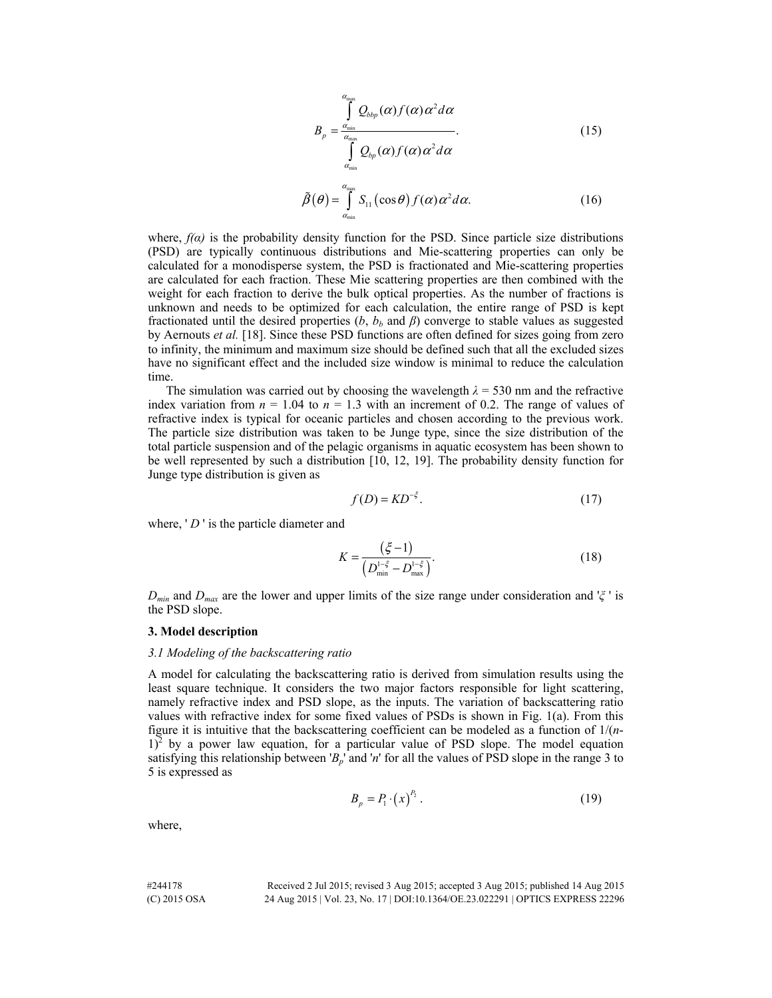$$
B_p = \frac{\int_{\alpha_{\text{min}}}^{\alpha_{\text{max}}} Q_{bbp}(\alpha) f(\alpha) \alpha^2 d\alpha}{\int_{\alpha_{\text{min}}}^{\alpha_{\text{max}}} Q_{bp}(\alpha) f(\alpha) \alpha^2 d\alpha}.
$$
 (15)

$$
\tilde{\beta}(\theta) = \int_{\alpha_{\min}}^{\alpha_{\max}} S_{11}(\cos \theta) f(\alpha) \alpha^2 d\alpha.
$$
 (16)

where,  $f(\alpha)$  is the probability density function for the PSD. Since particle size distributions (PSD) are typically continuous distributions and Mie-scattering properties can only be calculated for a monodisperse system, the PSD is fractionated and Mie-scattering properties are calculated for each fraction. These Mie scattering properties are then combined with the weight for each fraction to derive the bulk optical properties. As the number of fractions is unknown and needs to be optimized for each calculation, the entire range of PSD is kept fractionated until the desired properties  $(b, b_b \text{ and } \beta)$  converge to stable values as suggested by Aernouts *et al.* [18]. Since these PSD functions are often defined for sizes going from zero to infinity, the minimum and maximum size should be defined such that all the excluded sizes have no significant effect and the included size window is minimal to reduce the calculation time.

The simulation was carried out by choosing the wavelength  $\lambda = 530$  nm and the refractive index variation from  $n = 1.04$  to  $n = 1.3$  with an increment of 0.2. The range of values of refractive index is typical for oceanic particles and chosen according to the previous work. The particle size distribution was taken to be Junge type, since the size distribution of the total particle suspension and of the pelagic organisms in aquatic ecosystem has been shown to be well represented by such a distribution [10, 12, 19]. The probability density function for Junge type distribution is given as

$$
f(D) = KD^{-\xi}.
$$
 (17)

where, 'D' is the particle diameter and

$$
K = \frac{(\xi - 1)}{\left(D_{\min}^{1-\xi} - D_{\max}^{1-\xi}\right)}.
$$
\n(18)

*Dmin* and *Dmax* are the lower and upper limits of the size range under consideration and '*ξ* ' is the PSD slope.

## **3. Model description**

#### *3.1 Modeling of the backscattering ratio*

A model for calculating the backscattering ratio is derived from simulation results using the least square technique. It considers the two major factors responsible for light scattering, namely refractive index and PSD slope, as the inputs. The variation of backscattering ratio values with refractive index for some fixed values of PSDs is shown in Fig. 1(a). From this figure it is intuitive that the backscattering coefficient can be modeled as a function of 1/(*n*- $1$ <sup>2</sup> by a power law equation, for a particular value of PSD slope. The model equation satisfying this relationship between ' $B_p$ ' and '*n*' for all the values of PSD slope in the range 3 to 5 is expressed as

$$
B_p = P_1 \cdot (x)^{P_2} \,. \tag{19}
$$

where,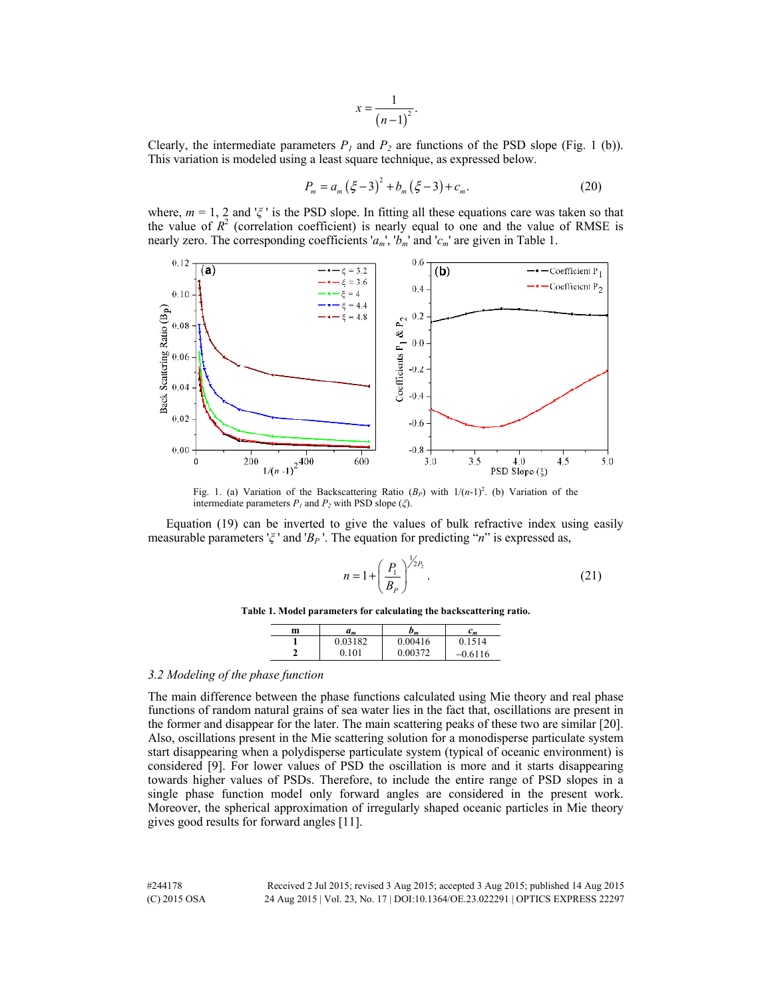$$
x=\frac{1}{\left(n-1\right)^2}.
$$

Clearly, the intermediate parameters  $P_I$  and  $P_2$  are functions of the PSD slope (Fig. 1 (b)). This variation is modeled using a least square technique, as expressed below.

$$
P_m = a_m (\xi - 3)^2 + b_m (\xi - 3) + c_m. \tag{20}
$$

where,  $m = 1$ , 2 and ' $\zeta$ ' is the PSD slope. In fitting all these equations care was taken so that the value of  $R^2$  (correlation coefficient) is nearly equal to one and the value of RMSE is nearly zero. The corresponding coefficients '*am*', '*bm*' and '*cm*' are given in Table 1.



Fig. 1. (a) Variation of the Backscattering Ratio  $(B_P)$  with  $1/(n-1)^2$ . (b) Variation of the intermediate parameters *P1* and *P2* with PSD slope (*ξ*).

Equation (19) can be inverted to give the values of bulk refractive index using easily measurable parameters '*ξ* ' and '*BP* '. The equation for predicting "*n*" is expressed as,

$$
n = 1 + \left(\frac{P_1}{B_P}\right)^{\frac{1}{2}P_2}.
$$
 (21)

|  |  | Table 1. Model parameters for calculating the backscattering ratio. |
|--|--|---------------------------------------------------------------------|
|  |  |                                                                     |

| m | a <sub>m</sub> | $b_m$   | $c_m$     |
|---|----------------|---------|-----------|
|   | 0.03182        | 0.00416 | 1514      |
|   | 0.101          | 0.00372 | $-0.6116$ |

# *3.2 Modeling of the phase function*

The main difference between the phase functions calculated using Mie theory and real phase functions of random natural grains of sea water lies in the fact that, oscillations are present in the former and disappear for the later. The main scattering peaks of these two are similar [20]. Also, oscillations present in the Mie scattering solution for a monodisperse particulate system start disappearing when a polydisperse particulate system (typical of oceanic environment) is considered [9]. For lower values of PSD the oscillation is more and it starts disappearing towards higher values of PSDs. Therefore, to include the entire range of PSD slopes in a single phase function model only forward angles are considered in the present work. Moreover, the spherical approximation of irregularly shaped oceanic particles in Mie theory gives good results for forward angles [11].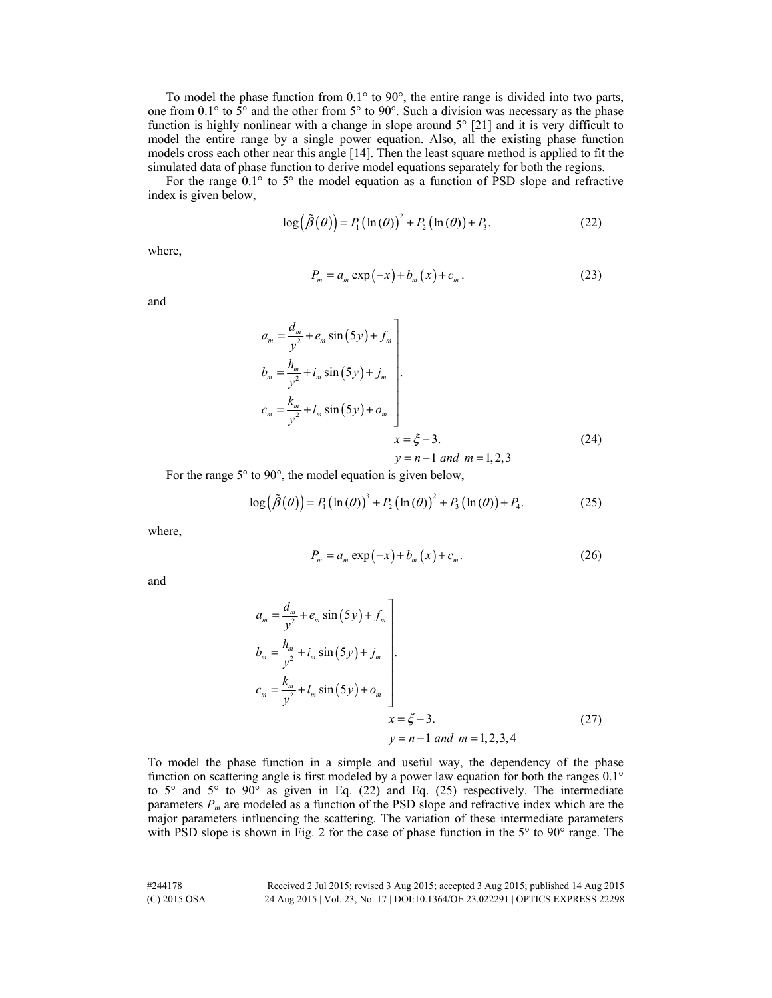To model the phase function from 0.1° to 90°, the entire range is divided into two parts, one from  $0.1^{\circ}$  to  $5^{\circ}$  and the other from  $5^{\circ}$  to  $90^{\circ}$ . Such a division was necessary as the phase function is highly nonlinear with a change in slope around  $5^{\circ}$  [21] and it is very difficult to model the entire range by a single power equation. Also, all the existing phase function models cross each other near this angle [14]. Then the least square method is applied to fit the simulated data of phase function to derive model equations separately for both the regions.

For the range  $0.1^{\circ}$  to 5° the model equation as a function of PSD slope and refractive index is given below,

$$
\log(\tilde{\beta}(\theta)) = P_1(\ln(\theta))^2 + P_2(\ln(\theta)) + P_3.
$$
 (22)

where,

$$
P_m = a_m \exp(-x) + b_m(x) + c_m.
$$
 (23)

and

$$
a_m = \frac{d_m}{y^2} + e_m \sin(5y) + f_m
$$
  
\n
$$
b_m = \frac{h_m}{y^2} + i_m \sin(5y) + j_m
$$
  
\n
$$
c_m = \frac{k_m}{y^2} + l_m \sin(5y) + o_m
$$
  
\n
$$
x = \xi - 3.
$$
\n(24)

 $y = n - 1$  and  $m = 1, 2, 3$ 

For the range 5° to 90°, the model equation is given below,

$$
\log(\tilde{\beta}(\theta)) = P_1(\ln(\theta))^3 + P_2(\ln(\theta))^2 + P_3(\ln(\theta)) + P_4.
$$
 (25)

where,

$$
P_m = a_m \exp(-x) + b_m(x) + c_m.
$$
 (26)

and

$$
a_m = \frac{d_m}{y^2} + e_m \sin(5y) + f_m
$$
  
\n
$$
b_m = \frac{h_m}{y^2} + i_m \sin(5y) + j_m
$$
  
\n
$$
c_m = \frac{k_m}{y^2} + l_m \sin(5y) + o_m
$$
  
\n
$$
x = \xi - 3.
$$
  
\n
$$
y = n - 1 \text{ and } m = 1, 2, 3, 4
$$
\n(27)

To model the phase function in a simple and useful way, the dependency of the phase function on scattering angle is first modeled by a power law equation for both the ranges 0.1° to  $5^{\circ}$  and  $5^{\circ}$  to  $90^{\circ}$  as given in Eq. (22) and Eq. (25) respectively. The intermediate parameters  $P_m$  are modeled as a function of the PSD slope and refractive index which are the major parameters influencing the scattering. The variation of these intermediate parameters with PSD slope is shown in Fig. 2 for the case of phase function in the 5° to 90° range. The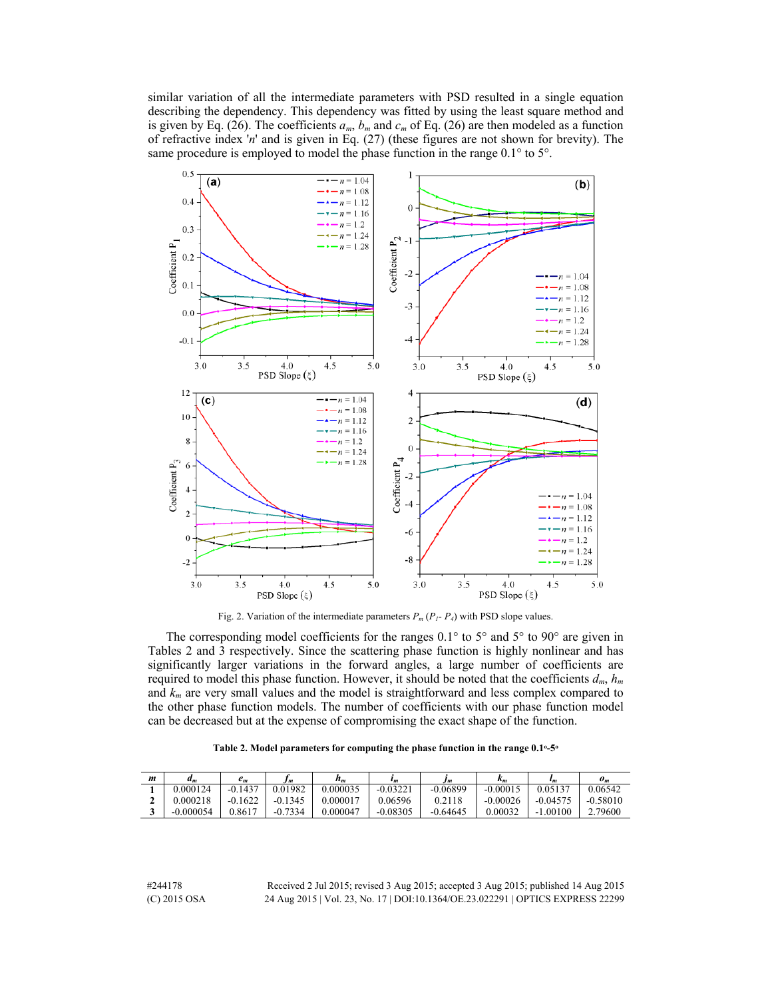similar variation of all the intermediate parameters with PSD resulted in a single equation describing the dependency. This dependency was fitted by using the least square method and is given by Eq. (26). The coefficients  $a_m$ ,  $b_m$  and  $c_m$  of Eq. (26) are then modeled as a function of refractive index '*n*' and is given in Eq. (27) (these figures are not shown for brevity). The same procedure is employed to model the phase function in the range  $0.1^{\circ}$  to  $5^{\circ}$ .



Fig. 2. Variation of the intermediate parameters  $P_m(P_I - P_4)$  with PSD slope values.

The corresponding model coefficients for the ranges  $0.1^{\circ}$  to  $5^{\circ}$  and  $5^{\circ}$  to  $90^{\circ}$  are given in Tables 2 and 3 respectively. Since the scattering phase function is highly nonlinear and has significantly larger variations in the forward angles, a large number of coefficients are required to model this phase function. However, it should be noted that the coefficients  $d_m$ ,  $h_m$ and  $k_m$  are very small values and the model is straightforward and less complex compared to the other phase function models. The number of coefficients with our phase function model can be decreased but at the expense of compromising the exact shape of the function.

| m | am,         | $e_m$     | I m       | $h_m$    | $\iota_m$              | Im         | n m        | $\iota_m$  | $\boldsymbol{o}_m$ |
|---|-------------|-----------|-----------|----------|------------------------|------------|------------|------------|--------------------|
|   | 0.000124    | $-0.1437$ | 0.01982   | 0.000035 | $-0.0322$ <sup>+</sup> | $-0.06899$ | $-0.00015$ | 0.05137    | 0.06542            |
|   | 0.000218    | $-0.1622$ | $-0.1345$ | 0.000017 | 0.06596                | 0.2118     | $-0.00026$ | $-0.0457'$ | $-0.58010$         |
|   | $-0.000054$ | 0.8617    | $-0.7334$ | 0.000047 | $-0.08305$             | $-0.64645$ | 0.00032    | $-1.00100$ | 2.79600            |

| Table 2. Model parameters for computing the phase function in the range $0.1$ °-5° |  |  |  |  |  |
|------------------------------------------------------------------------------------|--|--|--|--|--|
|------------------------------------------------------------------------------------|--|--|--|--|--|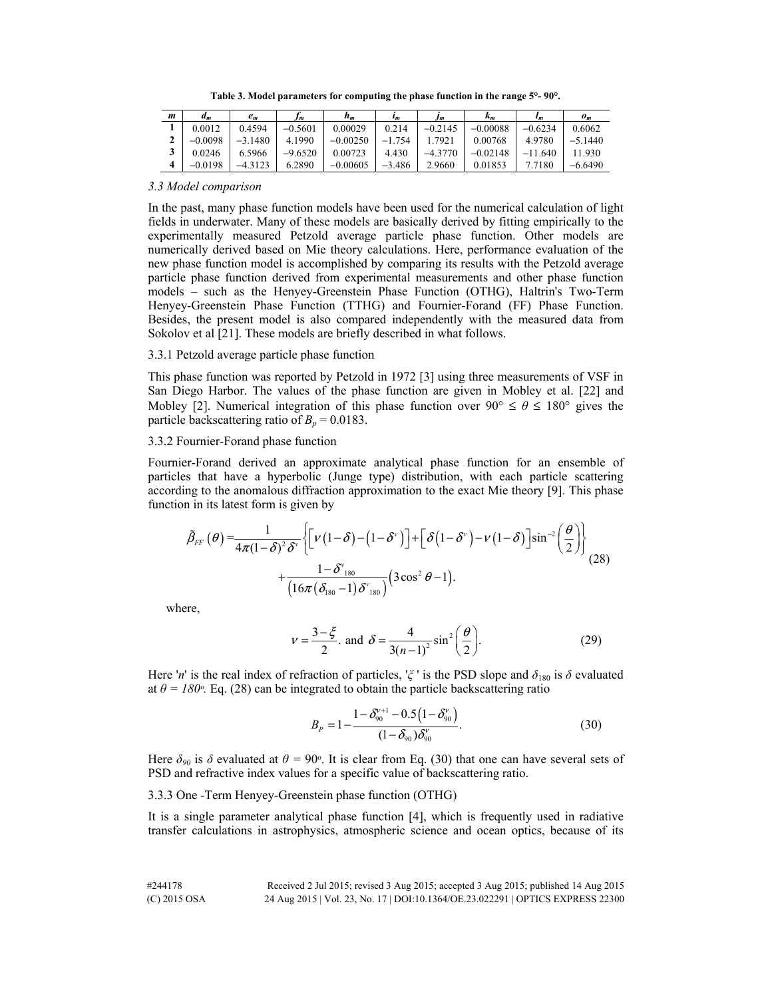**Table 3. Model parameters for computing the phase function in the range 5°- 90°.** 

| m | $d_m$     | $e_m$     | I m       | $h_m$      | $\iota_m$ | Im        | $\kappa_m$ | $\iota_m$ | $\boldsymbol{o}_m$ |
|---|-----------|-----------|-----------|------------|-----------|-----------|------------|-----------|--------------------|
|   | 0.0012    | 0.4594    | $-0.5601$ | 0.00029    | 0.214     | $-0.2145$ | $-0.00088$ | $-0.6234$ | 0.6062             |
|   | $-0.0098$ | $-3.1480$ | 4.1990    | $-0.00250$ | $-1.754$  | 7921      | 0.00768    | 4.9780    | $-5.1440$          |
|   | 0.0246    | 6.5966    | $-9.6520$ | 0.00723    | 4.430     | $-4.3770$ | $-0.02148$ | $-11.640$ | 1.930              |
|   | $-0.0198$ |           | 6.2890    | $-0.00605$ | $-3.486$  | 2.9660    | 0.01853    | 7.7180    | $-6.6490$          |

*3.3 Model comparison* 

In the past, many phase function models have been used for the numerical calculation of light fields in underwater. Many of these models are basically derived by fitting empirically to the experimentally measured Petzold average particle phase function. Other models are numerically derived based on Mie theory calculations. Here, performance evaluation of the new phase function model is accomplished by comparing its results with the Petzold average particle phase function derived from experimental measurements and other phase function models – such as the Henyey-Greenstein Phase Function (OTHG), Haltrin's Two-Term Henyey-Greenstein Phase Function (TTHG) and Fournier-Forand (FF) Phase Function. Besides, the present model is also compared independently with the measured data from Sokolov et al [21]. These models are briefly described in what follows.

## 3.3.1 Petzold average particle phase function

This phase function was reported by Petzold in 1972 [3] using three measurements of VSF in San Diego Harbor. The values of the phase function are given in Mobley et al. [22] and Mobley [2]. Numerical integration of this phase function over  $90^{\circ} \le \theta \le 180^{\circ}$  gives the particle backscattering ratio of  $B_p = 0.0183$ .

## 3.3.2 Fournier-Forand phase function

Fournier-Forand derived an approximate analytical phase function for an ensemble of particles that have a hyperbolic (Junge type) distribution, with each particle scattering according to the anomalous diffraction approximation to the exact Mie theory [9]. This phase function in its latest form is given by

$$
\tilde{\beta}_{FF}(\theta) = \frac{1}{4\pi(1-\delta)^2 \delta^{\nu}} \Biggl\{ \Biggl[ \nu \bigl(1-\delta \bigr) - \bigl(1-\delta^{\nu} \bigr) \Biggr] + \Biggl[ \delta \bigl(1-\delta^{\nu} \bigr) - \nu \bigl(1-\delta \bigr) \Biggr] \sin^{-2} \biggl( \frac{\theta}{2} \biggr) \Biggr\} + \frac{1-\delta^{\nu}_{180}}{\Bigl(16\pi \bigl( \delta_{180} - 1 \bigr) \delta^{\nu}_{180} \Bigr)} \Bigl( 3 \cos^2 \theta - 1 \Bigr).
$$
\n(28)

where,

$$
v = \frac{3 - \xi}{2} \text{ and } \delta = \frac{4}{3(n-1)^2} \sin^2\left(\frac{\theta}{2}\right). \tag{29}
$$

Here '*n*' is the real index of refraction of particles, ' $\zeta$ ' is the PSD slope and  $\delta_{180}$  is  $\delta$  evaluated at  $\theta = 180^\circ$ . Eq. (28) can be integrated to obtain the particle backscattering ratio

$$
B_{P} = 1 - \frac{1 - \delta_{90}^{V+1} - 0.5(1 - \delta_{90}^{V})}{(1 - \delta_{90})\delta_{90}^{V}}.
$$
\n(30)

Here  $\delta_{90}$  is  $\delta$  evaluated at  $\theta = 90^\circ$ . It is clear from Eq. (30) that one can have several sets of PSD and refractive index values for a specific value of backscattering ratio.

## 3.3.3 One -Term Henyey-Greenstein phase function (OTHG)

It is a single parameter analytical phase function [4], which is frequently used in radiative transfer calculations in astrophysics, atmospheric science and ocean optics, because of its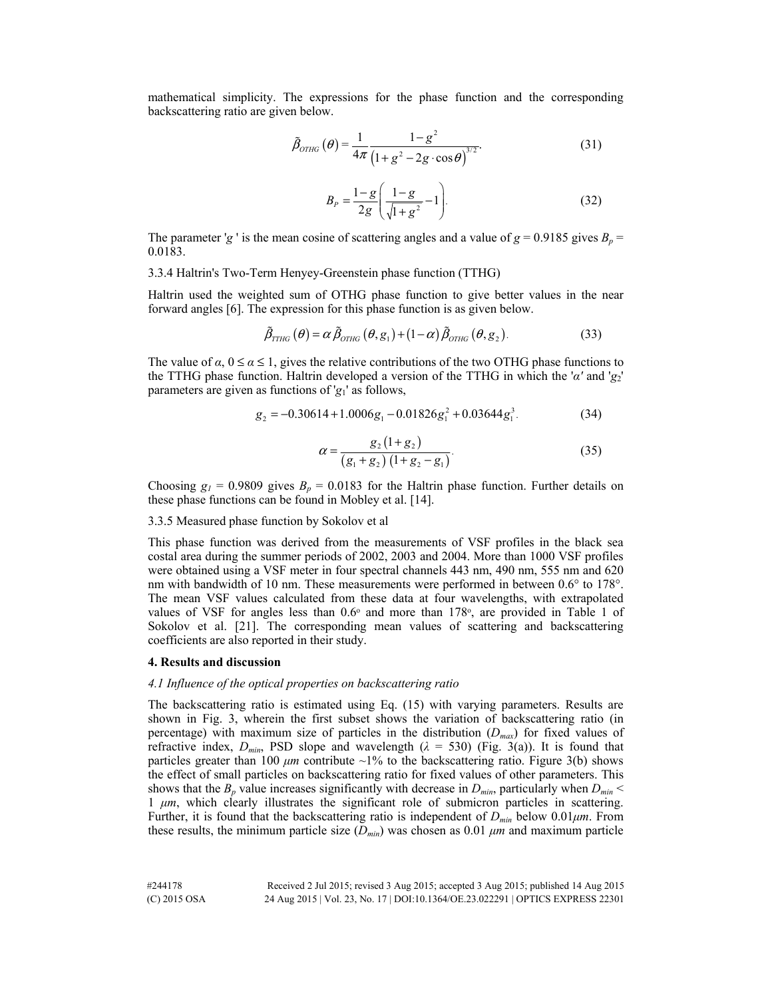mathematical simplicity. The expressions for the phase function and the corresponding backscattering ratio are given below.

$$
\tilde{\beta}_{OTHG}(\theta) = \frac{1}{4\pi} \frac{1 - g^2}{\left(1 + g^2 - 2g \cdot \cos \theta\right)^{3/2}}.
$$
\n(31)

$$
B_P = \frac{1 - g}{2g} \left( \frac{1 - g}{\sqrt{1 + g^2}} - 1 \right).
$$
 (32)

The parameter '*g* ' is the mean cosine of scattering angles and a value of  $g = 0.9185$  gives  $B_p =$ 0.0183.

3.3.4 Haltrin's Two-Term Henyey-Greenstein phase function (TTHG)

Haltrin used the weighted sum of OTHG phase function to give better values in the near forward angles [6]. The expression for this phase function is as given below.

$$
\tilde{\beta}_{\text{THG}}\left(\theta\right) = \alpha \, \tilde{\beta}_{\text{OTHG}}\left(\theta, \mathbf{g}_1\right) + \left(1 - \alpha\right) \tilde{\beta}_{\text{OTHG}}\left(\theta, \mathbf{g}_2\right). \tag{33}
$$

The value of  $\alpha$ ,  $0 \le \alpha \le 1$ , gives the relative contributions of the two OTHG phase functions to the TTHG phase function. Haltrin developed a version of the TTHG in which the '*α'* and '*g*2' parameters are given as functions of '*g*1' as follows,

$$
g_2 = -0.30614 + 1.0006g_1 - 0.01826g_1^2 + 0.03644g_1^3. \tag{34}
$$

$$
\alpha = \frac{g_2(1+g_2)}{(g_1+g_2)(1+g_2-g_1)}.
$$
\n(35)

Choosing  $g_l = 0.9809$  gives  $B_p = 0.0183$  for the Haltrin phase function. Further details on these phase functions can be found in Mobley et al. [14].

### 3.3.5 Measured phase function by Sokolov et al

This phase function was derived from the measurements of VSF profiles in the black sea costal area during the summer periods of 2002, 2003 and 2004. More than 1000 VSF profiles were obtained using a VSF meter in four spectral channels 443 nm, 490 nm, 555 nm and 620 nm with bandwidth of 10 nm. These measurements were performed in between 0.6° to 178°. The mean VSF values calculated from these data at four wavelengths, with extrapolated values of VSF for angles less than  $0.6\degree$  and more than  $178\degree$ , are provided in Table 1 of Sokolov et al. [21]. The corresponding mean values of scattering and backscattering coefficients are also reported in their study.

#### **4. Results and discussion**

## *4.1 Influence of the optical properties on backscattering ratio*

The backscattering ratio is estimated using Eq. (15) with varying parameters. Results are shown in Fig. 3, wherein the first subset shows the variation of backscattering ratio (in percentage) with maximum size of particles in the distribution  $(D_{max})$  for fixed values of refractive index,  $D_{min}$ , PSD slope and wavelength ( $\lambda = 530$ ) (Fig. 3(a)). It is found that particles greater than 100  $\mu$ *m* contribute ~1% to the backscattering ratio. Figure 3(b) shows the effect of small particles on backscattering ratio for fixed values of other parameters. This shows that the  $B_p$  value increases significantly with decrease in  $D_{min}$ , particularly when  $D_{min}$  < 1 *μm*, which clearly illustrates the significant role of submicron particles in scattering. Further, it is found that the backscattering ratio is independent of *Dmin* below 0.01*μm*. From these results, the minimum particle size  $(D_{min})$  was chosen as 0.01  $\mu$ *m* and maximum particle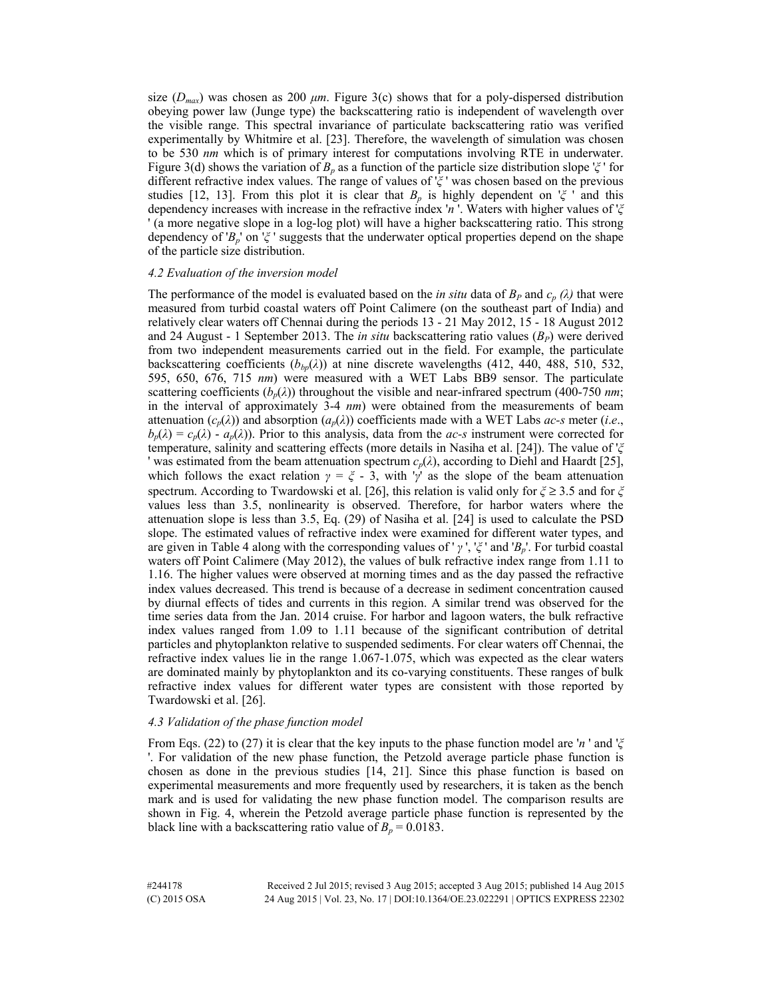size  $(D_{max})$  was chosen as 200  $\mu$ m. Figure 3(c) shows that for a poly-dispersed distribution obeying power law (Junge type) the backscattering ratio is independent of wavelength over the visible range. This spectral invariance of particulate backscattering ratio was verified experimentally by Whitmire et al. [23]. Therefore, the wavelength of simulation was chosen to be 530 *nm* which is of primary interest for computations involving RTE in underwater. Figure 3(d) shows the variation of *Bp* as a function of the particle size distribution slope '*ξ* ' for different refractive index values. The range of values of '*ξ* ' was chosen based on the previous studies [12, 13]. From this plot it is clear that  $B_p$  is highly dependent on ' $\zeta$ ' and this dependency increases with increase in the refractive index '*n* '. Waters with higher values of '*ξ* ' (a more negative slope in a log-log plot) will have a higher backscattering ratio. This strong dependency of '*Bp*' on '*ξ* ' suggests that the underwater optical properties depend on the shape of the particle size distribution.

### *4.2 Evaluation of the inversion model*

The performance of the model is evaluated based on the *in situ* data of  $B_P$  and  $c_p$  ( $\lambda$ ) that were measured from turbid coastal waters off Point Calimere (on the southeast part of India) and relatively clear waters off Chennai during the periods 13 - 21 May 2012, 15 - 18 August 2012 and 24 August - 1 September 2013. The *in situ* backscattering ratio values (*BP*) were derived from two independent measurements carried out in the field. For example, the particulate backscattering coefficients  $(b_{bp}(\lambda))$  at nine discrete wavelengths (412, 440, 488, 510, 532, 595, 650, 676, 715 *nm*) were measured with a WET Labs BB9 sensor. The particulate scattering coefficients  $(b_p(\lambda))$  throughout the visible and near-infrared spectrum (400-750 *nm*; in the interval of approximately 3-4 *nm*) were obtained from the measurements of beam attenuation  $(c_p(\lambda))$  and absorption  $(a_p(\lambda))$  coefficients made with a WET Labs *ac-s* meter (*i.e.*,  $b_p(\lambda) = c_p(\lambda) - a_p(\lambda)$ ). Prior to this analysis, data from the *ac-s* instrument were corrected for temperature, salinity and scattering effects (more details in Nasiha et al. [24]). The value of '*ξ* ' was estimated from the beam attenuation spectrum  $c_p(\lambda)$ , according to Diehl and Haardt [25], which follows the exact relation  $\gamma = \zeta$  - 3, with '*γ*' as the slope of the beam attenuation spectrum. According to Twardowski et al. [26], this relation is valid only for *ξ* ≥ 3.5 and for *ξ* values less than 3.5, nonlinearity is observed. Therefore, for harbor waters where the attenuation slope is less than 3.5, Eq. (29) of Nasiha et al. [24] is used to calculate the PSD slope. The estimated values of refractive index were examined for different water types, and are given in Table 4 along with the corresponding values of ' *γ* ', '*ξ* ' and '*Bp*'. For turbid coastal waters off Point Calimere (May 2012), the values of bulk refractive index range from 1.11 to 1.16. The higher values were observed at morning times and as the day passed the refractive index values decreased. This trend is because of a decrease in sediment concentration caused by diurnal effects of tides and currents in this region. A similar trend was observed for the time series data from the Jan. 2014 cruise. For harbor and lagoon waters, the bulk refractive index values ranged from 1.09 to 1.11 because of the significant contribution of detrital particles and phytoplankton relative to suspended sediments. For clear waters off Chennai, the refractive index values lie in the range 1.067-1.075, which was expected as the clear waters are dominated mainly by phytoplankton and its co-varying constituents. These ranges of bulk refractive index values for different water types are consistent with those reported by Twardowski et al. [26].

### *4.3 Validation of the phase function model*

From Eqs. (22) to (27) it is clear that the key inputs to the phase function model are '*n* ' and '*ξ* '. For validation of the new phase function, the Petzold average particle phase function is chosen as done in the previous studies [14, 21]. Since this phase function is based on experimental measurements and more frequently used by researchers, it is taken as the bench mark and is used for validating the new phase function model. The comparison results are shown in Fig. 4, wherein the Petzold average particle phase function is represented by the black line with a backscattering ratio value of  $B_p = 0.0183$ .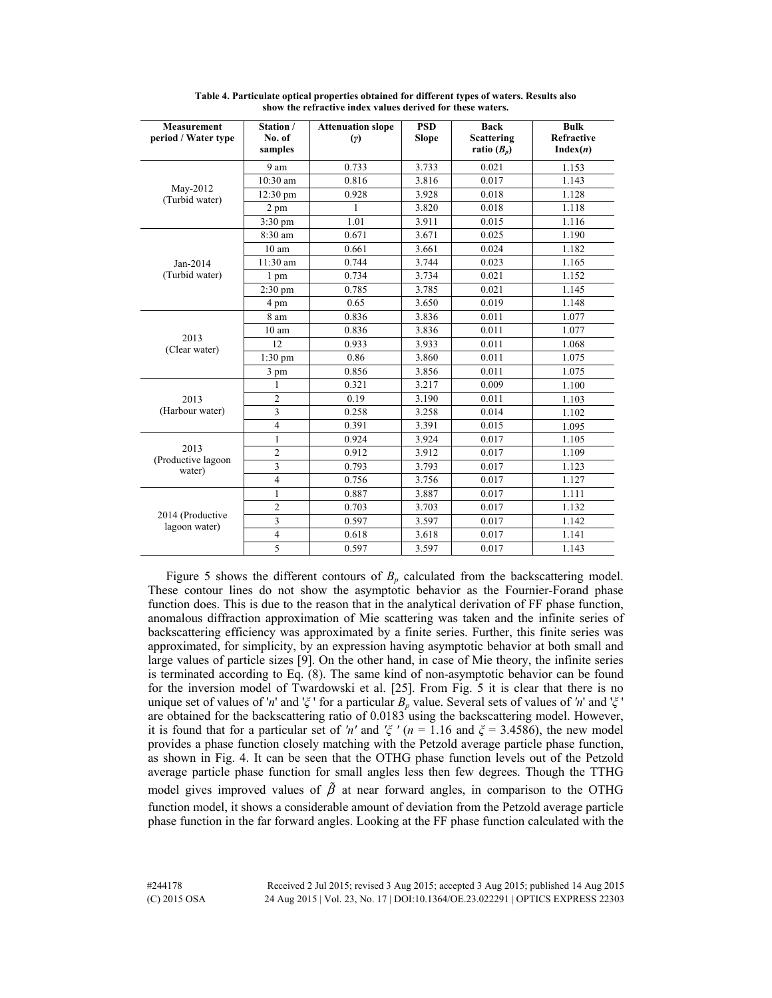| <b>Measurement</b><br>period / Water type | Station /<br>No. of<br>samples | <b>Attenuation slope</b><br>(y) | <b>PSD</b><br><b>Slope</b> | <b>Back</b><br><b>Scattering</b><br>ratio $(B_p)$ | <b>Bulk</b><br><b>Refractive</b><br>Index(n) |
|-------------------------------------------|--------------------------------|---------------------------------|----------------------------|---------------------------------------------------|----------------------------------------------|
|                                           | 9 am                           | 0.733                           | 3.733                      | 0.021                                             | 1.153                                        |
|                                           | $10:30$ am                     | 0.816                           | 3.816                      | 0.017                                             | 1.143                                        |
| May-2012<br>(Turbid water)                | $12:30 \text{ pm}$             | 0.928                           | 3.928                      | 0.018                                             | 1.128                                        |
|                                           | 2 pm                           | 1                               | 3.820                      | 0.018                                             | 1.118                                        |
|                                           | $3:30$ pm                      | 1.01                            | 3.911                      | 0.015                                             | 1.116                                        |
|                                           | 8:30 am                        | 0.671                           | 3.671                      | 0.025                                             | 1.190                                        |
|                                           | 10 <sub>am</sub>               | 0.661                           | 3.661                      | 0.024                                             | 1.182                                        |
| Jan-2014                                  | $11:30$ am                     | 0.744                           | 3.744                      | 0.023                                             | 1.165                                        |
| (Turbid water)                            | 1 pm                           | 0.734                           | 3.734                      | 0.021                                             | 1.152                                        |
|                                           | $2:30 \text{ pm}$              | 0.785                           | 3.785                      | 0.021                                             | 1.145                                        |
|                                           | 4 pm                           | 0.65                            | 3.650                      | 0.019                                             | 1.148                                        |
|                                           | 8 am                           | 0.836                           | 3.836                      | 0.011                                             | 1.077                                        |
|                                           | 10 <sub>am</sub>               | 0.836                           | 3.836                      | 0.011                                             | 1.077                                        |
| 2013<br>(Clear water)                     | 12                             | 0.933                           | 3.933                      | 0.011                                             | 1.068                                        |
|                                           | $1:30$ pm                      | 0.86                            | 3.860                      | 0.011                                             | 1.075                                        |
|                                           | 3 pm                           | 0.856                           | 3.856                      | 0.011                                             | 1.075                                        |
|                                           | 1                              | 0.321                           | 3.217                      | 0.009                                             | 1.100                                        |
| 2013                                      | $\overline{c}$                 | 0.19                            | 3.190                      | 0.011                                             | 1.103                                        |
| (Harbour water)                           | 3                              | 0.258                           | 3.258                      | 0.014                                             | 1.102                                        |
|                                           | $\overline{4}$                 | 0.391                           | 3.391                      | 0.015                                             | 1.095                                        |
|                                           | $\mathbf{1}$                   | 0.924                           | 3.924                      | 0.017                                             | 1.105                                        |
| 2013                                      | $\overline{2}$                 | 0.912                           | 3.912                      | 0.017                                             | 1.109                                        |
| (Productive lagoon<br>water)              | 3                              | 0.793                           | 3.793                      | 0.017                                             | 1.123                                        |
|                                           | $\overline{4}$                 | 0.756                           | 3.756                      | 0.017                                             | 1.127                                        |
|                                           | 1                              | 0.887                           | 3.887                      | 0.017                                             | 1.111                                        |
|                                           | $\overline{2}$                 | 0.703                           | 3.703                      | 0.017                                             | 1.132                                        |
| 2014 (Productive<br>lagoon water)         | 3                              | 0.597                           | 3.597                      | 0.017                                             | 1.142                                        |
|                                           | 4                              | 0.618                           | 3.618                      | 0.017                                             | 1.141                                        |
|                                           | 5                              | 0.597                           | $\overline{3.597}$         | 0.017                                             | 1.143                                        |

**Table 4. Particulate optical properties obtained for different types of waters. Results also show the refractive index values derived for these waters.** 

Figure 5 shows the different contours of  $B<sub>p</sub>$  calculated from the backscattering model. These contour lines do not show the asymptotic behavior as the Fournier-Forand phase function does. This is due to the reason that in the analytical derivation of FF phase function, anomalous diffraction approximation of Mie scattering was taken and the infinite series of backscattering efficiency was approximated by a finite series. Further, this finite series was approximated, for simplicity, by an expression having asymptotic behavior at both small and large values of particle sizes [9]. On the other hand, in case of Mie theory, the infinite series is terminated according to Eq. (8). The same kind of non-asymptotic behavior can be found for the inversion model of Twardowski et al. [25]. From Fig. 5 it is clear that there is no unique set of values of '*n*' and '*ξ* ' for a particular *Bp* value. Several sets of values of *'n*' and '*ξ* ' are obtained for the backscattering ratio of 0.0183 using the backscattering model. However, it is found that for a particular set of 'n' and ' $\zeta$ ' ( $n = 1.16$  and  $\zeta = 3.4586$ ), the new model provides a phase function closely matching with the Petzold average particle phase function, as shown in Fig. 4. It can be seen that the OTHG phase function levels out of the Petzold average particle phase function for small angles less then few degrees. Though the TTHG model gives improved values of  $\tilde{\beta}$  at near forward angles, in comparison to the OTHG function model, it shows a considerable amount of deviation from the Petzold average particle phase function in the far forward angles. Looking at the FF phase function calculated with the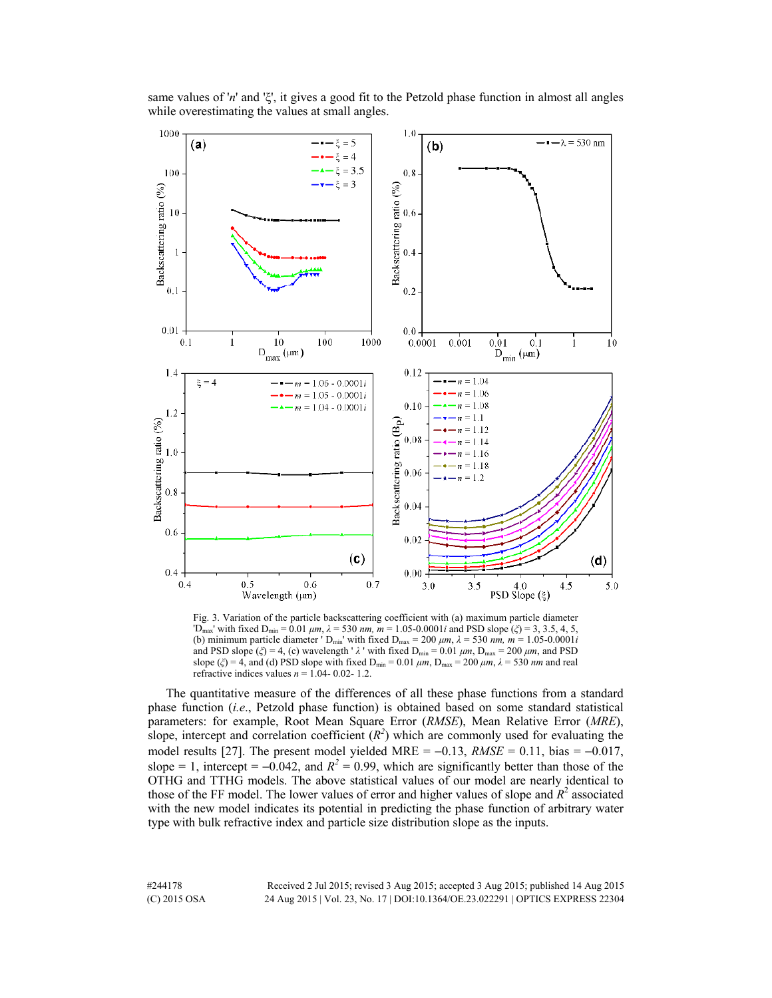

same values of '*n*' and 'ξ', it gives a good fit to the Petzold phase function in almost all angles while overestimating the values at small angles.

Fig. 3. Variation of the particle backscattering coefficient with (a) maximum particle diameter  $D_{\text{max}}$ ' with fixed  $D_{\text{min}} = 0.01 \mu m$ ,  $\lambda = 530 \mu m$ ,  $m = 1.05 - 0.0001i$  and PSD slope (*ξ*) = 3, 3.5, 4, 5, (b) minimum particle diameter  $\sum_{\text{min}}$  with fixed  $D_{\text{max}} = 200 \ \mu m$ ,  $\lambda = 530 \ \text{nm}$ ,  $m = 1.05 - 0.0001i$ and PSD slope ( $\zeta$ ) = 4, (c) wavelength ' $\lambda$  ' with fixed D<sub>min</sub> = 0.01  $\mu$ *m*, D<sub>max</sub> = 200  $\mu$ *m*, and PSD slope ( $\zeta$ ) = 4, and (d) PSD slope with fixed D<sub>min</sub> = 0.01  $\mu$ m, D<sub>max</sub> = 200  $\mu$ m,  $\lambda$  = 530 *nm* and real refractive indices values  $n = 1.04 - 0.02 - 1.2$ .

The quantitative measure of the differences of all these phase functions from a standard phase function (*i.e*., Petzold phase function) is obtained based on some standard statistical parameters: for example, Root Mean Square Error (*RMSE*), Mean Relative Error (*MRE*), slope, intercept and correlation coefficient  $(R^2)$  which are commonly used for evaluating the model results [27]. The present model yielded MRE =  $-0.13$ , *RMSE* = 0.11, bias =  $-0.017$ , slope = 1, intercept =  $-0.042$ , and  $R^2 = 0.99$ , which are significantly better than those of the OTHG and TTHG models. The above statistical values of our model are nearly identical to those of the FF model. The lower values of error and higher values of slope and  $R<sup>2</sup>$  associated with the new model indicates its potential in predicting the phase function of arbitrary water type with bulk refractive index and particle size distribution slope as the inputs.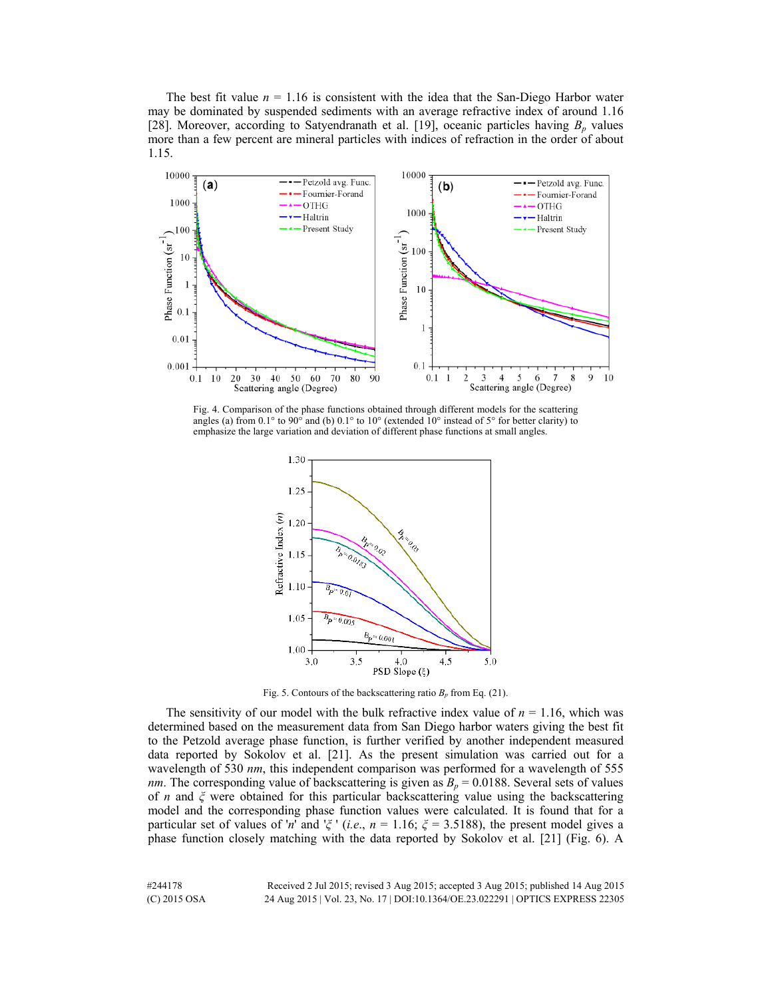The best fit value  $n = 1.16$  is consistent with the idea that the San-Diego Harbor water may be dominated by suspended sediments with an average refractive index of around 1.16 [28]. Moreover, according to Satyendranath et al. [19], oceanic particles having  $B_p$  values more than a few percent are mineral particles with indices of refraction in the order of about 1.15.



Fig. 4. Comparison of the phase functions obtained through different models for the scattering angles (a) from  $0.1^{\circ}$  to  $90^{\circ}$  and (b)  $0.1^{\circ}$  to  $10^{\circ}$  (extended  $10^{\circ}$  instead of  $5^{\circ}$  for better clarity) to emphasize the large variation and deviation of different phase functions at small angles.



Fig. 5. Contours of the backscattering ratio  $B_p$  from Eq. (21).

The sensitivity of our model with the bulk refractive index value of  $n = 1.16$ , which was determined based on the measurement data from San Diego harbor waters giving the best fit to the Petzold average phase function, is further verified by another independent measured data reported by Sokolov et al. [21]. As the present simulation was carried out for a wavelength of 530 *nm*, this independent comparison was performed for a wavelength of 555 *nm*. The corresponding value of backscattering is given as  $B_p = 0.0188$ . Several sets of values of *n* and *ξ* were obtained for this particular backscattering value using the backscattering model and the corresponding phase function values were calculated. It is found that for a particular set of values of '*n*' and ' $\zeta$ ' (*i.e.*,  $n = 1.16$ ;  $\zeta = 3.5188$ ), the present model gives a phase function closely matching with the data reported by Sokolov et al. [21] (Fig. 6). A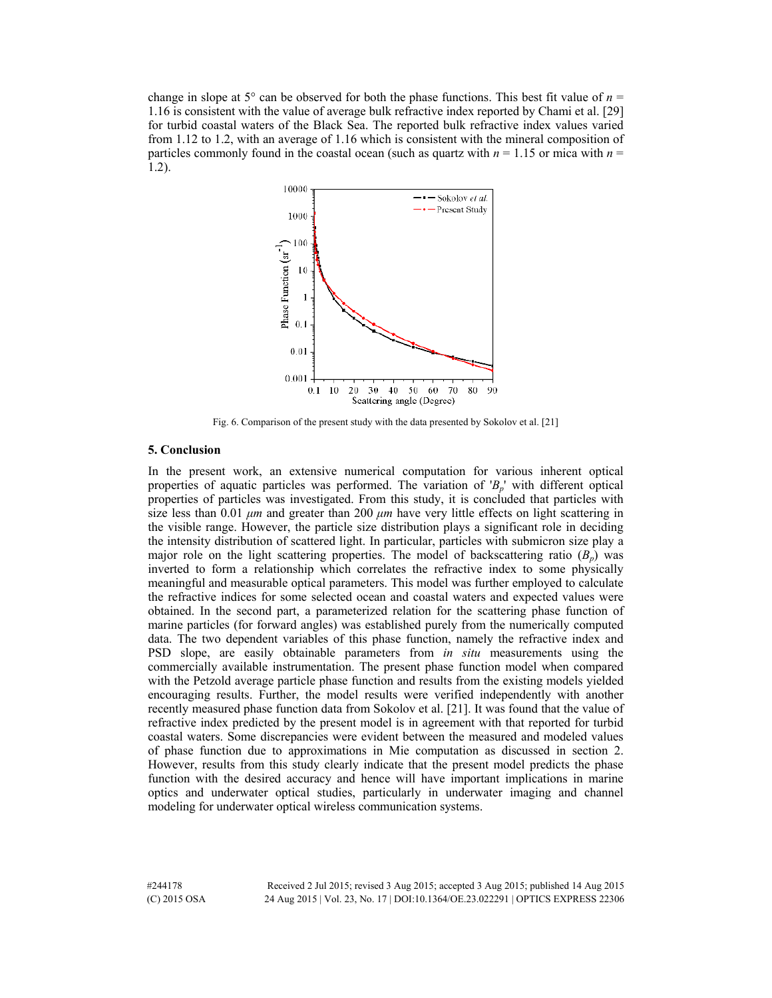change in slope at  $5^\circ$  can be observed for both the phase functions. This best fit value of  $n =$ 1.16 is consistent with the value of average bulk refractive index reported by Chami et al. [29] for turbid coastal waters of the Black Sea. The reported bulk refractive index values varied from 1.12 to 1.2, with an average of 1.16 which is consistent with the mineral composition of particles commonly found in the coastal ocean (such as quartz with  $n = 1.15$  or mica with  $n =$ 1.2).



Fig. 6. Comparison of the present study with the data presented by Sokolov et al. [21]

# **5. Conclusion**

In the present work, an extensive numerical computation for various inherent optical properties of aquatic particles was performed. The variation of '*Bp*' with different optical properties of particles was investigated. From this study, it is concluded that particles with size less than 0.01 *μm* and greater than 200 *μm* have very little effects on light scattering in the visible range. However, the particle size distribution plays a significant role in deciding the intensity distribution of scattered light. In particular, particles with submicron size play a major role on the light scattering properties. The model of backscattering ratio  $(B_n)$  was inverted to form a relationship which correlates the refractive index to some physically meaningful and measurable optical parameters. This model was further employed to calculate the refractive indices for some selected ocean and coastal waters and expected values were obtained. In the second part, a parameterized relation for the scattering phase function of marine particles (for forward angles) was established purely from the numerically computed data. The two dependent variables of this phase function, namely the refractive index and PSD slope, are easily obtainable parameters from *in situ* measurements using the commercially available instrumentation. The present phase function model when compared with the Petzold average particle phase function and results from the existing models yielded encouraging results. Further, the model results were verified independently with another recently measured phase function data from Sokolov et al. [21]. It was found that the value of refractive index predicted by the present model is in agreement with that reported for turbid coastal waters. Some discrepancies were evident between the measured and modeled values of phase function due to approximations in Mie computation as discussed in section 2. However, results from this study clearly indicate that the present model predicts the phase function with the desired accuracy and hence will have important implications in marine optics and underwater optical studies, particularly in underwater imaging and channel modeling for underwater optical wireless communication systems.